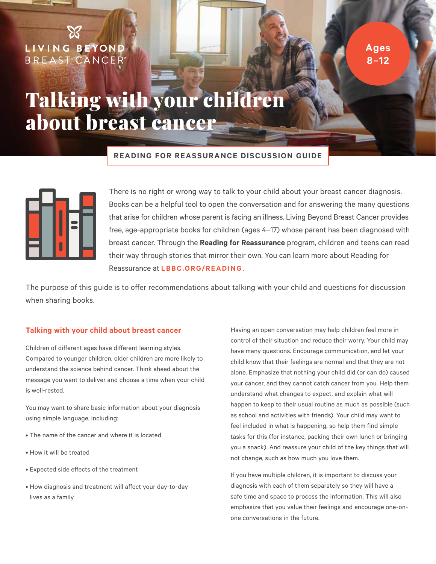LIVING BEYOND<br>BREAST CANCER®

**Ages 8–12**

## Talking with your children about breast cancer

**READING FOR REASSURANCE DISCUSSION GUIDE**



There is no right or wrong way to talk to your child about your breast cancer diagnosis. Books can be a helpful tool to open the conversation and for answering the many questions that arise for children whose parent is facing an illness. Living Beyond Breast Cancer provides free, age-appropriate books for children (ages 4–17) whose parent has been diagnosed with breast cancer. Through the **Reading for Reassurance** program, children and teens can read their way through stories that mirror their own. You can learn more about Reading for Reassurance at **[LBBC.ORG/READING](http://lbbc.Org/reading)**.

The purpose of this guide is to offer recommendations about talking with your child and questions for discussion when sharing books.

### **Talking with your child about breast cancer**

Children of different ages have different learning styles. Compared to younger children, older children are more likely to understand the science behind cancer. Think ahead about the message you want to deliver and choose a time when your child is well-rested.

You may want to share basic information about your diagnosis using simple language, including:

- The name of the cancer and where it is located
- How it will be treated
- Expected side effects of the treatment
- How diagnosis and treatment will affect your day-to-day lives as a family

Having an open conversation may help children feel more in control of their situation and reduce their worry. Your child may have many questions. Encourage communication, and let your child know that their feelings are normal and that they are not alone. Emphasize that nothing your child did (or can do) caused your cancer, and they cannot catch cancer from you. Help them understand what changes to expect, and explain what will happen to keep to their usual routine as much as possible (such as school and activities with friends). Your child may want to feel included in what is happening, so help them find simple tasks for this (for instance, packing their own lunch or bringing you a snack). And reassure your child of the key things that will not change, such as how much you love them.

If you have multiple children, it is important to discuss your diagnosis with each of them separately so they will have a safe time and space to process the information. This will also emphasize that you value their feelings and encourage one-onone conversations in the future.